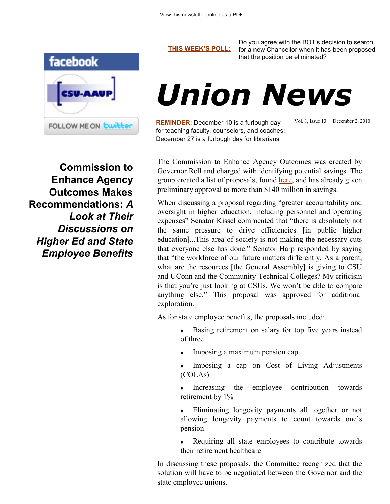

**Commission to Enhance Agency Outcomes Makes Recommendations:** *A Look at Their Discussions on Higher Ed and State Employee Benefits*

**[THIS WEEK'S POLL:](http://www.csuaaup.org/)**

Do you agree with the BOT's decision to search for a new Chancellor when it has been proposed that the position be eliminated?

## *Union News*

**REMINDER:** December 10 is a furlough day for teaching faculty, counselors, and coaches; December 27 is a furlough day for librarians

Vol. 1, Issue 13 | December 2, 2010

The Commission to Enhance Agency Outcomes was created by Governor Rell and charged with identifying potential savings. The group created a list of proposals, found [here,](http://www.csuaaup.org/wp-content/uploads/2010/12/ceao-proposals.pdf) and has already given preliminary approval to more than \$140 million in savings.

When discussing a proposal regarding "greater accountability and oversight in higher education, including personnel and operating expenses" Senator Kissel commented that "there is absolutely not the same pressure to drive efficiencies [in public higher education]...This area of society is not making the necessary cuts that everyone else has done." Senator Harp responded by saying that "the workforce of our future matters differently. As a parent, what are the resources [the General Assembly] is giving to CSU and UConn and the Community-Technical Colleges? My criticism is that you're just looking at CSUs. We won't be able to compare anything else." This proposal was approved for additional exploration.

As for state employee benefits, the proposals included:

- Basing retirement on salary for top five years instead of three
- Imposing a maximum pension cap
- Imposing a cap on Cost of Living Adjustments (COLAs)
- Increasing the employee contribution towards retirement by 1%
- Eliminating longevity payments all together or not allowing longevity payments to count towards one's pension
- Requiring all state employees to contribute towards their retirement healthcare

In discussing these proposals, the Committee recognized that the solution will have to be negotiated between the Governor and the state employee unions.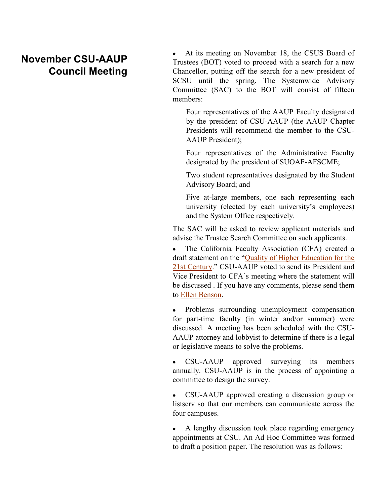## **November CSU-AAUP Council Meeting**

 At its meeting on November 18, the CSUS Board of Trustees (BOT) voted to proceed with a search for a new Chancellor, putting off the search for a new president of SCSU until the spring. The Systemwide Advisory Committee (SAC) to the BOT will consist of fifteen members:

Four representatives of the AAUP Faculty designated by the president of CSU-AAUP (the AAUP Chapter Presidents will recommend the member to the CSU-AAUP President);

Four representatives of the Administrative Faculty designated by the president of SUOAF-AFSCME;

Two student representatives designated by the Student Advisory Board; and

Five at-large members, one each representing each university (elected by each university's employees) and the System Office respectively.

The SAC will be asked to review applicant materials and advise the Trustee Search Committee on such applicants.

 The California Faculty Association (CFA) created a draft statement on the "[Quality of Higher Education for the](http://www.csuaaup.org/wp-content/uploads/2010/07/CFA-Meeting-Draft-Principles.doc)  [21st Century](http://www.csuaaup.org/wp-content/uploads/2010/07/CFA-Meeting-Draft-Principles.doc)." CSU-AAUP voted to send its President and Vice President to CFA's meeting where the statement will be discussed . If you have any comments, please send them to [Ellen Benson.](mailto:bensonell@ccsu.edu?subject=CFA%20Draft%20Principles) 

 Problems surrounding unemployment compensation for part-time faculty (in winter and/or summer) were discussed. A meeting has been scheduled with the CSU-AAUP attorney and lobbyist to determine if there is a legal or legislative means to solve the problems.

• CSU-AAUP approved surveying its members annually. CSU-AAUP is in the process of appointing a committee to design the survey.

 CSU-AAUP approved creating a discussion group or listserv so that our members can communicate across the four campuses.

 A lengthy discussion took place regarding emergency appointments at CSU. An Ad Hoc Committee was formed to draft a position paper. The resolution was as follows: